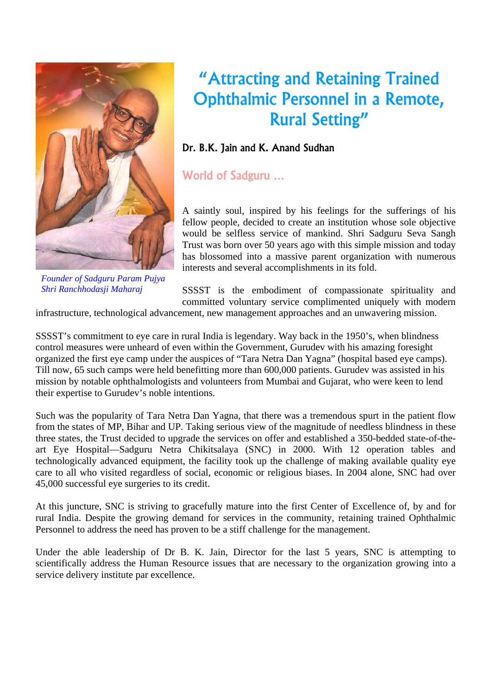

*Founder of Sadguru Param Pujya* 

# "Attracting and Retaining Trained Ophthalmic Personnel in a Remote, Rural Setting"

### Dr. B.K. Jain and K. Anand Sudhan

World of Sadguru …

A saintly soul, inspired by his feelings for the sufferings of his fellow people, decided to create an institution whose sole objective would be selfless service of mankind. Shri Sadguru Seva Sangh Trust was born over 50 years ago with this simple mission and today has blossomed into a massive parent organization with numerous interests and several accomplishments in its fold.

*Shri Ranchhodasji Maharaj* SSSST is the embodiment of compassionate spirituality and committed voluntary service complimented uniquely with modern

infrastructure, technological advancement, new management approaches and an unwavering mission.

SSSST's commitment to eye care in rural India is legendary. Way back in the 1950's, when blindness control measures were unheard of even within the Government, Gurudev with his amazing foresight organized the first eye camp under the auspices of "Tara Netra Dan Yagna" (hospital based eye camps). Till now, 65 such camps were held benefitting more than 600,000 patients. Gurudev was assisted in his mission by notable ophthalmologists and volunteers from Mumbai and Gujarat, who were keen to lend their expertise to Gurudev's noble intentions.

Such was the popularity of Tara Netra Dan Yagna, that there was a tremendous spurt in the patient flow from the states of MP, Bihar and UP. Taking serious view of the magnitude of needless blindness in these three states, the Trust decided to upgrade the services on offer and established a 350-bedded state-of-theart Eye Hospital—Sadguru Netra Chikitsalaya (SNC) in 2000. With 12 operation tables and technologically advanced equipment, the facility took up the challenge of making available quality eye care to all who visited regardless of social, economic or religious biases. In 2004 alone, SNC had over 45,000 successful eye surgeries to its credit.

At this juncture, SNC is striving to gracefully mature into the first Center of Excellence of, by and for rural India. Despite the growing demand for services in the community, retaining trained Ophthalmic Personnel to address the need has proven to be a stiff challenge for the management.

Under the able leadership of Dr B. K. Jain, Director for the last 5 years, SNC is attempting to scientifically address the Human Resource issues that are necessary to the organization growing into a service delivery institute par excellence.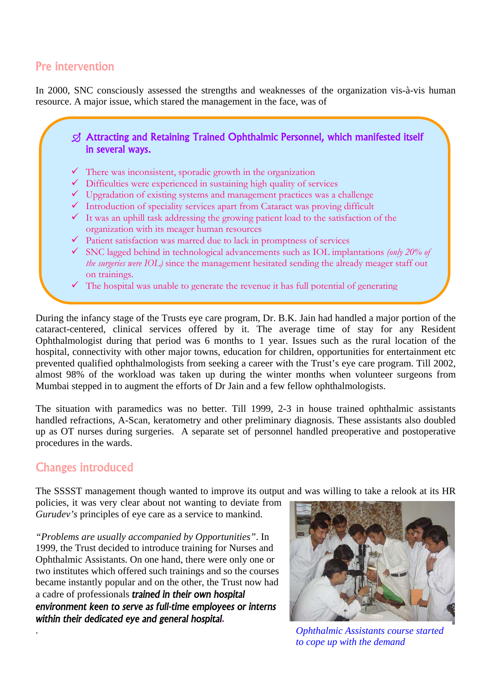## Pre intervention

In 2000, SNC consciously assessed the strengths and weaknesses of the organization vis-à-vis human resource. A major issue, which stared the management in the face, was of

#### ¶ Attracting and Retaining Trained Ophthalmic Personnel, which manifested itself in several ways.

- $\checkmark$  There was inconsistent, sporadic growth in the organization
- $\checkmark$  Difficulties were experienced in sustaining high quality of services
- $\checkmark$  Upgradation of existing systems and management practices was a challenge
- $\checkmark$  Introduction of speciality services apart from Cataract was proving difficult
- $\checkmark$  It was an uphill task addressing the growing patient load to the satisfaction of the organization with its meager human resources
- $\checkmark$  Patient satisfaction was marred due to lack in promptness of services
- 9 SNC lagged behind in technological advancements such as IOL implantations *(only 20% of the surgeries were IOL)* since the management hesitated sending the already meager staff out on trainings.
- $\checkmark$  The hospital was unable to generate the revenue it has full potential of generating

During the infancy stage of the Trusts eye care program, Dr. B.K. Jain had handled a major portion of the cataract-centered, clinical services offered by it. The average time of stay for any Resident Ophthalmologist during that period was 6 months to 1 year. Issues such as the rural location of the hospital, connectivity with other major towns, education for children, opportunities for entertainment etc prevented qualified ophthalmologists from seeking a career with the Trust's eye care program. Till 2002, almost 98% of the workload was taken up during the winter months when volunteer surgeons from Mumbai stepped in to augment the efforts of Dr Jain and a few fellow ophthalmologists.

The situation with paramedics was no better. Till 1999, 2-3 in house trained ophthalmic assistants handled refractions, A-Scan, keratometry and other preliminary diagnosis. These assistants also doubled up as OT nurses during surgeries. A separate set of personnel handled preoperative and postoperative procedures in the wards.

## Changes introduced

The SSSST management though wanted to improve its output and was willing to take a relook at its HR

policies, it was very clear about not wanting to deviate from *Gurudev's* principles of eye care as a service to mankind.

*"Problems are usually accompanied by Opportunities"*. In 1999, the Trust decided to introduce training for Nurses and Ophthalmic Assistants. On one hand, there were only one or two institutes which offered such trainings and so the courses became instantly popular and on the other, the Trust now had a cadre of professionals *trained in their own hospital environment keen to serve as full-time employees or interns within their dedicated eye and general hospital.*



. *Ophthalmic Assistants course started to cope up with the demand*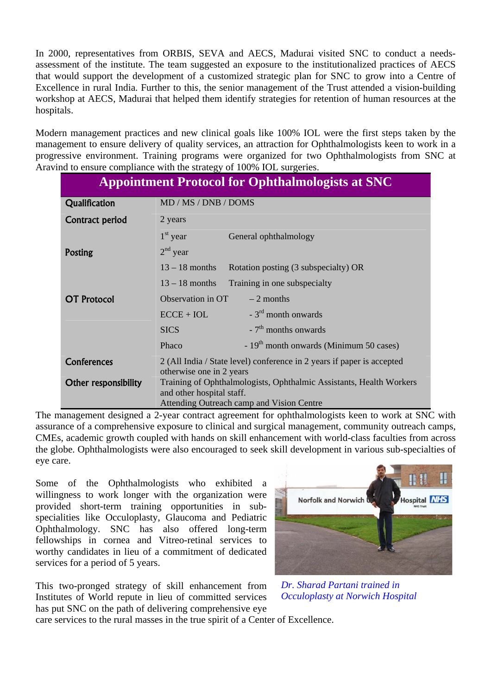In 2000, representatives from ORBIS, SEVA and AECS, Madurai visited SNC to conduct a needsassessment of the institute. The team suggested an exposure to the institutionalized practices of AECS that would support the development of a customized strategic plan for SNC to grow into a Centre of Excellence in rural India. Further to this, the senior management of the Trust attended a vision-building workshop at AECS, Madurai that helped them identify strategies for retention of human resources at the hospitals.

Modern management practices and new clinical goals like 100% IOL were the first steps taken by the management to ensure delivery of quality services, an attraction for Ophthalmologists keen to work in a progressive environment. Training programs were organized for two Ophthalmologists from SNC at Aravind to ensure compliance with the strategy of 100% IOL surgeries.

| <b>Appointment Protocol for Ophthalmologists at SNC</b> |                                                                                                                                               |
|---------------------------------------------------------|-----------------------------------------------------------------------------------------------------------------------------------------------|
| Qualification                                           | MD / MS / DNB / DOMS                                                                                                                          |
| Contract period                                         | 2 years                                                                                                                                       |
|                                                         | $1st$ year<br>General ophthalmology                                                                                                           |
| <b>Posting</b>                                          | $2nd$ year                                                                                                                                    |
|                                                         | $13 - 18$ months<br>Rotation posting (3 subspecialty) OR                                                                                      |
|                                                         | $13 - 18$ months<br>Training in one subspecialty                                                                                              |
| <b>OT Protocol</b>                                      | Observation in OT<br>$-2$ months                                                                                                              |
|                                                         | $-3^{rd}$ month onwards<br>$ECE + IOL$                                                                                                        |
|                                                         | $-7th$ months onwards<br><b>SICS</b>                                                                                                          |
|                                                         | - $19th$ month onwards (Minimum 50 cases)<br>Phaco                                                                                            |
| <b>Conferences</b>                                      | 2 (All India / State level) conference in 2 years if paper is accepted<br>otherwise one in 2 years                                            |
| <b>Other responsibility</b>                             | Training of Ophthalmologists, Ophthalmic Assistants, Health Workers<br>and other hospital staff.<br>Attending Outreach camp and Vision Centre |

The management designed a 2-year contract agreement for ophthalmologists keen to work at SNC with assurance of a comprehensive exposure to clinical and surgical management, community outreach camps, CMEs, academic growth coupled with hands on skill enhancement with world-class faculties from across the globe. Ophthalmologists were also encouraged to seek skill development in various sub-specialties of eye care.

Some of the Ophthalmologists who exhibited a willingness to work longer with the organization were provided short-term training opportunities in subspecialities like Occuloplasty, Glaucoma and Pediatric Ophthalmology. SNC has also offered long-term fellowships in cornea and Vitreo-retinal services to worthy candidates in lieu of a commitment of dedicated services for a period of 5 years.

This two-pronged strategy of skill enhancement from Institutes of World repute in lieu of committed services has put SNC on the path of delivering comprehensive eye



*Dr. Sharad Partani trained in Occuloplasty at Norwich Hospital* 

care services to the rural masses in the true spirit of a Center of Excellence.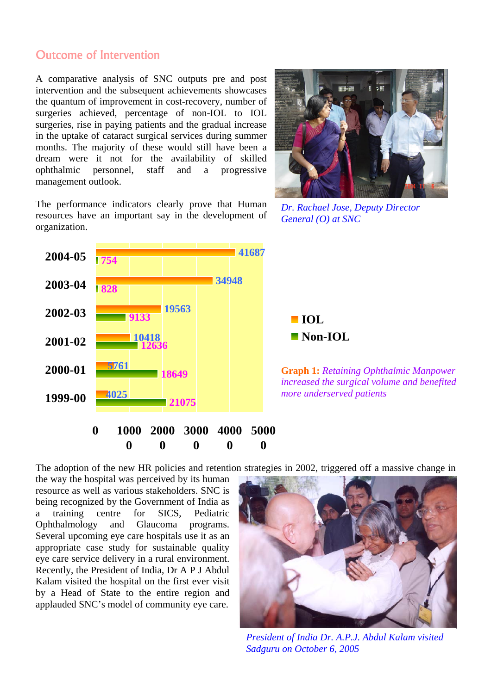## Outcome of Intervention

A comparative analysis of SNC outputs pre and post intervention and the subsequent achievements showcases the quantum of improvement in cost-recovery, number of surgeries achieved, percentage of non-IOL to IOL surgeries, rise in paying patients and the gradual increase in the uptake of cataract surgical services during summer months. The majority of these would still have been a dream were it not for the availability of skilled ophthalmic personnel, staff and a progressive management outlook.





*Dr. Rachael Jose, Deputy Director General (O) at SNC* 



The adoption of the new HR policies and retention strategies in 2002, triggered off a massive change in

the way the hospital was perceived by its human resource as well as various stakeholders. SNC is being recognized by the Government of India as a training centre for SICS, Pediatric Ophthalmology and Glaucoma programs. Several upcoming eye care hospitals use it as an appropriate case study for sustainable quality eye care service delivery in a rural environment. Recently, the President of India, Dr A P J Abdul Kalam visited the hospital on the first ever visit by a Head of State to the entire region and applauded SNC's model of community eye care.



*President of India Dr. A.P.J. Abdul Kalam visited Sadguru on October 6, 2005*